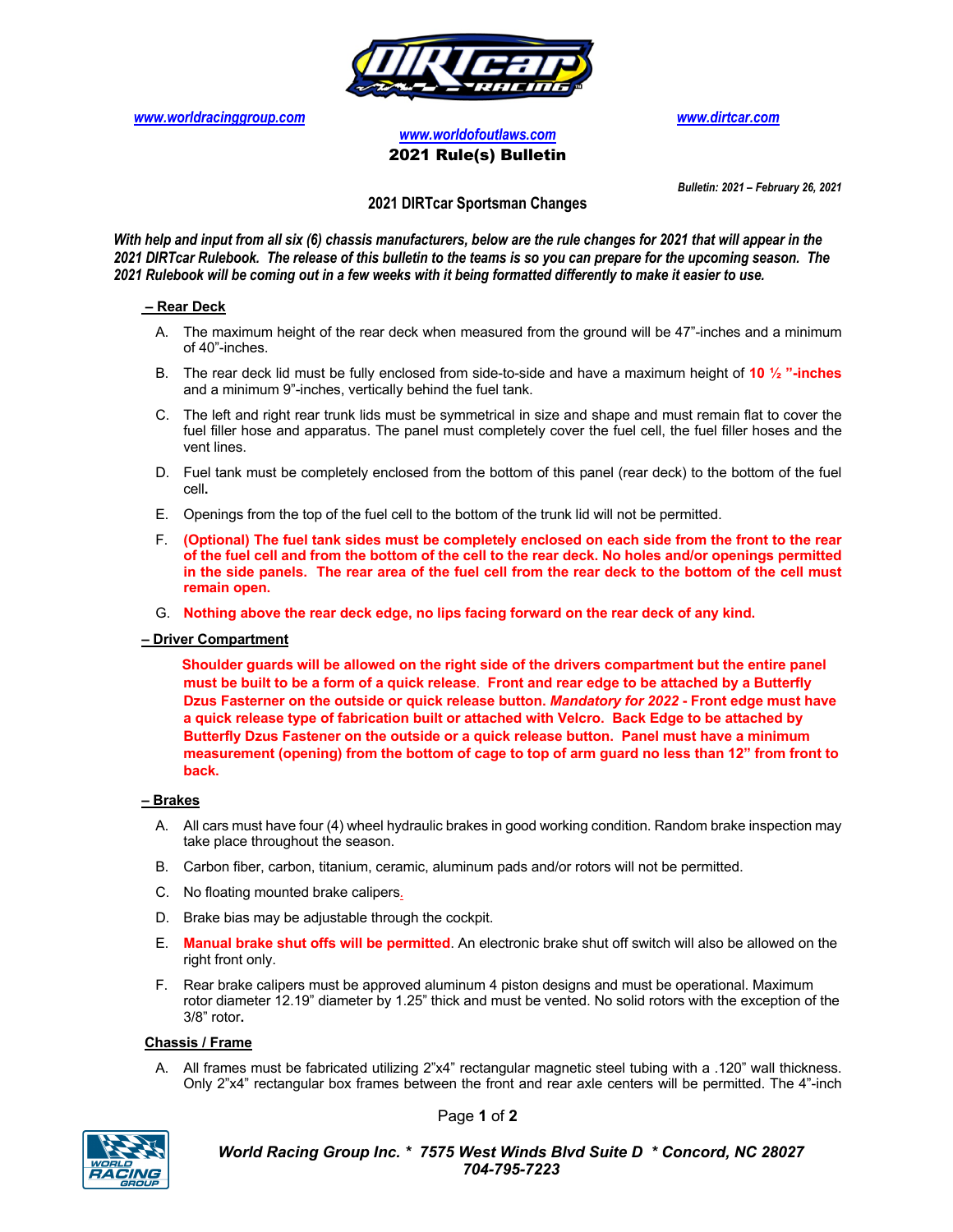

*www.worldracinggroup.com www.dirtcar.com*

*www.worldofoutlaws.com* 2021 Rule(s) Bulletin

*Bulletin: 2021 – February 26, 2021*

## **2021 DIRTcar Sportsman Changes**

*With help and input from all six (6) chassis manufacturers, below are the rule changes for 2021 that will appear in the 2021 DIRTcar Rulebook. The release of this bulletin to the teams is so you can prepare for the upcoming season. The 2021 Rulebook will be coming out in a few weeks with it being formatted differently to make it easier to use.* 

#### **– Rear Deck**

- A. The maximum height of the rear deck when measured from the ground will be 47"-inches and a minimum of 40"-inches.
- B. The rear deck lid must be fully enclosed from side-to-side and have a maximum height of **10 ½ "-inches** and a minimum 9"-inches, vertically behind the fuel tank.
- C. The left and right rear trunk lids must be symmetrical in size and shape and must remain flat to cover the fuel filler hose and apparatus. The panel must completely cover the fuel cell, the fuel filler hoses and the vent lines.
- D. Fuel tank must be completely enclosed from the bottom of this panel (rear deck) to the bottom of the fuel cell**.**
- E. Openings from the top of the fuel cell to the bottom of the trunk lid will not be permitted.
- F. **(Optional) The fuel tank sides must be completely enclosed on each side from the front to the rear of the fuel cell and from the bottom of the cell to the rear deck. No holes and/or openings permitted in the side panels. The rear area of the fuel cell from the rear deck to the bottom of the cell must remain open.**
- G. **Nothing above the rear deck edge, no lips facing forward on the rear deck of any kind.**

#### **– Driver Compartment**

 **Shoulder guards will be allowed on the right side of the drivers compartment but the entire panel must be built to be a form of a quick release**. **Front and rear edge to be attached by a Butterfly Dzus Fasterner on the outside or quick release button.** *Mandatory for 2022* **- Front edge must have a quick release type of fabrication built or attached with Velcro. Back Edge to be attached by Butterfly Dzus Fastener on the outside or a quick release button. Panel must have a minimum measurement (opening) from the bottom of cage to top of arm guard no less than 12" from front to back.** 

#### **– Brakes**

- A. All cars must have four (4) wheel hydraulic brakes in good working condition. Random brake inspection may take place throughout the season.
- B. Carbon fiber, carbon, titanium, ceramic, aluminum pads and/or rotors will not be permitted.
- C. No floating mounted brake calipers*.*
- D. Brake bias may be adjustable through the cockpit.
- E. **Manual brake shut offs will be permitted**. An electronic brake shut off switch will also be allowed on the right front only.
- F. Rear brake calipers must be approved aluminum 4 piston designs and must be operational. Maximum rotor diameter 12.19" diameter by 1.25" thick and must be vented. No solid rotors with the exception of the 3/8" rotor**.**

#### **Chassis / Frame**

A. All frames must be fabricated utilizing 2"x4" rectangular magnetic steel tubing with a .120" wall thickness. Only 2"x4" rectangular box frames between the front and rear axle centers will be permitted. The 4"-inch

Page **1** of **2**

*World Racing Group Inc. \* 7575 West Winds Blvd Suite D \* Concord, NC 28027 704-795-7223*